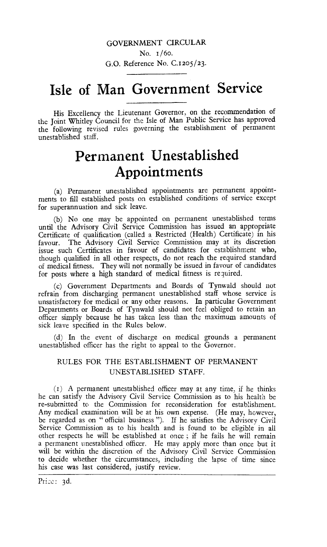### GOVERNMENT CIRCULAR

No. 1/60. G.O. Reference No. C.1205/23.

# **Isle of Man Government Service**

His Excellency the Lieutenant Governor, on the recommendation of the Joint Whitley Council for the Isle of Man Public Service has approved the following revised rules governing the establishment of permanent unestablished staff.

## **Permanent Unestablished Appointments**

(a) Permanent unestablished appointments are permanent appointments to fill established posts on established conditions of service except for superannuation and sick leave.

(b) No one may be appointed on permanent unestablished terms until the Advisory Civil Service Commission has issued an appropriate Certificate of qualification (called a Restricted (Health) Certificate) in his favour. The Advisory Civil Service Commission may at its discretion issue such Certificates in favour of candidates for establishment who, though qualified in all other respects, do not reach the required standard of medical fitness. They will not normally be issued in favour of candidates for posts where a high standard of medical fitness is required.

(c) Government Departments and Boards of Tynwald should not refrain from discharging permanent unestablished staff whose service is unsatisfactory for medical or any other reasons. In particular Government Departments or Boards of Tynwald should not feel obliged to retain an officer simply because he has taken less than the maximum amounts of sick leave specified in the Rules below.

(d) In the event of discharge on medical grounds a permanent unestablished officer has the right to appeal to the Governor.

### RULES FOR THE ESTABLISHMENT OF PERMANENT UNESTABLISHED STAFF.

(i) A permanent unestablished officer may at any time, if he thinks he can satisfy the Advisory Civil Service Commission as to his health be re-submitted to the Commission for reconsideration for establishment. Any medical examination will be at his own expense. (He may, however, be regarded as on " official business "). If he satisfies the Advisory Civil Service Commission as to his health and is found to be eligible in all other respects he will be established at once ; if he fails he will remain a permanent unestablished officer. He may apply more than once but it will be within the discretion of the Advisory Civil Service Commission to decide whether the circumstances, including the lapse of time since his case was last considered, justify review.

Price: 3d.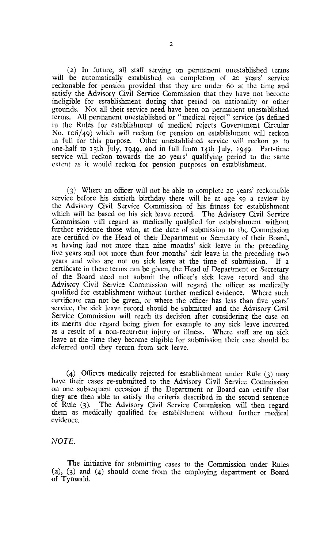(2) In future, all staff serving on permanent unestablished terms will be automatically established on completion of 20 years' service reckonable for pension provided that they are under 6o at the time and satisfy the Advisory Civil Service Commission that they have not become ineligible for establishment during that period on nationality or other grounds. Not all their service need have been on permanent unestablished terms. All permanent unestablished or "medical reject" service (as defined in the Rules for establishment of medical rejects Government Circular No. 106/49) which will reckon for pension on establishment will reckon in full for this purpose. Other unestablished service will reckon as to one-half to 13th July, 1949, and in full from 14th July, 1949. Part-time service will reckon towards the 20 years' qualifying period to the same extent as it would reckon for pension purposes on establishment.

(3) Where an officer will not be able to complete 20 years' reckonable service before his sixtieth birthday there will be at age 59 a review by the Advisory Civil Service Commission of his fitness for establishment which will be based on his sick leave record. The Advisory Civil Service Commission will regard as medically qualified for establishment without further evidence those who, at the date of submission to the Commission are certified by the Head of their Department or Secretary of their Board, as having had not more than nine months' sick leave in the preceding five years and not more than four months' sick leave in the preceding two years and who arc not on sick leave at the time of submission. If a certificate in these terms can be given, the Head of Department or Secretary of the Board need not submit the officer's sick leave record and the Advisory Civil Service Commission will regard the officer as medically qualified for establishment without further medical evidence. Where such certificate can not be given, or where the officer has less than five years' service, the sick leave record should he submitted and the Advisory Civil Service Commission will reach its decision after considering the case on its merits due regard being given for example to any sick leave incurred as a result of a non-recurrent injury or illness. Where staff are on sick leave at the time they become eligible for submission their case should be deferred until they return from sick leave.

(4) Officers medically rejected for establishment under Rule (3) may have their cases re-submitted to the Advisory Civil Service Commission on one subsequent occasion if the Department or Board can certify that they are then able to satisfy the criteria described in the second sentence of Rule (3). The Advisory Civil Service Commission will then regard them as medically qualified for establishment without further medical evidence.

*NOTE.* 

The initiative for submitting cases to the Commission under Rules (2), (3) and (4) should come from the employing department or Board of Tynwald.